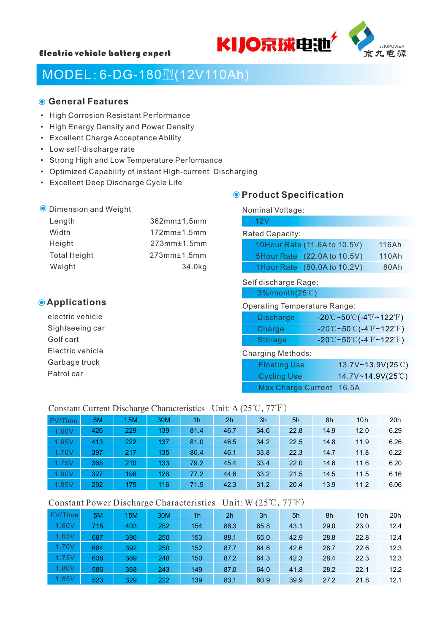



# MODEL:6-DG-180型(12V110Ah)

## **General Features**

- High Corrosion Resistant Performance
- High Energy Density and Power Density
- Excellent Charge Acceptance Ability
- Low self-discharge rate
- Strong High and Low Temperature Performance
- Optimized Capability of instant High-current Discharging
- Excellent Deep Discharge Cycle Life

#### **O** Dimension and Weight

| Length              | 362mm±1.5mm             |
|---------------------|-------------------------|
| Width               | $172$ mm $±1.5$ mm      |
| Height              | $273$ mm $±1.5$ mm      |
| <b>Total Height</b> | 273mm <sub>±1.5mm</sub> |
| Weight              | 34.0kg                  |
|                     |                         |

# **Applications**

electric vehicle Sightseeing car Golf cart Electric vehicle Garbage truck Patrol car

# **O** Product Specification

| Nominal Voltage:                           |                                                                                               |       |
|--------------------------------------------|-----------------------------------------------------------------------------------------------|-------|
| 12V                                        |                                                                                               |       |
| Rated Capacity:                            |                                                                                               |       |
| 10Hour Rate (11.6A to 10.5V)               |                                                                                               | 116Ah |
| 5Hour Rate (22.0A to 10.5V)                |                                                                                               | 110Ah |
| 1Hour Rate (80.0A to 10.2V)                |                                                                                               | 80Ah  |
| Self discharge Rage:<br>$3\%$ /month(25°C) |                                                                                               |       |
| <b>Operating Temperature Range:</b>        |                                                                                               |       |
| <b>Discharge</b>                           | $-20^{\circ}\text{C}$ ~50 $^{\circ}\text{C}$ (-4 $^{\circ}\text{F}$ ~122 $^{\circ}\text{F}$ ) |       |
| Charge                                     | $-20^{\circ}\text{C}$ ~50 $^{\circ}\text{C}$ (-4 $^{\circ}\text{F}$ ~122 $^{\circ}\text{F}$ ) |       |
| <b>Storage</b>                             | $-20^{\circ}$ C~50 $^{\circ}$ C(-4 $^{\circ}$ F~122 $^{\circ}$ F)                             |       |
| <b>Charging Methods:</b>                   |                                                                                               |       |
|                                            |                                                                                               |       |

| <b>Floating Use</b>      | 13.7V~13.9V(25°C) |
|--------------------------|-------------------|
| <b>Cycling Use</b>       | 14.7V~14.9V(25°C) |
| Max Charge Current 16.5A |                   |

#### Constant Current Discharge Characteristics Unit: A (25℃,77℉)

| FV/Time | 5M  | 15M | 30M | 1h   | 2 <sub>h</sub> | 3h   | 5h   | 8h   | 10h  | 20h  |
|---------|-----|-----|-----|------|----------------|------|------|------|------|------|
| 1.60V   | 426 | 229 | 139 | 81.4 | 46.7           | 34.6 | 22.8 | 14.9 | 12.0 | 6.29 |
| 1.65V   | 413 | 222 | 137 | 81.0 | 46.5           | 34.2 | 22.5 | 14.8 | 11.9 | 6.26 |
| 1.70V   | 397 | 217 | 135 | 80.4 | 46.1           | 33.8 | 22.3 | 14.7 | 11.8 | 6.22 |
| 1.75V   | 365 | 210 | 133 | 79.2 | 45.4           | 33.4 | 22.0 | 14.6 | 11.6 | 6.20 |
| 1.80V   | 327 | 196 | 128 | 77.2 | 44.6           | 33.2 | 21.5 | 14.5 | 11.5 | 6.16 |
| 1.85V   | 292 | 175 | 116 | 71.5 | 42.3           | 31.2 | 20.4 | 13.9 | 11.2 | 6.06 |

### Constant Power Discharge Characteristics Unit: W (25℃,77℉)

| FV/Time | 5M  | 15M | 30M | 1h  | 2 <sub>h</sub> | 3h   | 5h   | 8h   | 10 <sub>h</sub> | 20h  |
|---------|-----|-----|-----|-----|----------------|------|------|------|-----------------|------|
| 1.60V   | 715 | 403 | 252 | 154 | 88.3           | 65.8 | 43.1 | 29.0 | 23.0            | 12.4 |
| 1.65V   | 687 | 396 | 250 | 153 | 88.1           | 65.0 | 42.9 | 28.8 | 22.8            | 12.4 |
| 1.70V   | 684 | 392 | 250 | 152 | 87.7           | 64.6 | 42.6 | 28.7 | 22.6            | 12.3 |
| 1.75V   | 638 | 389 | 248 | 150 | 87.2           | 64.3 | 42.3 | 28.4 | 22.3            | 12.3 |
| 1.80V   | 586 | 368 | 243 | 149 | 87.0           | 64.0 | 41.8 | 28.2 | 22.1            | 12.2 |
| 1.85V   | 523 | 329 | 222 | 139 | 83.1           | 60.9 | 39.9 | 27.2 | 21.8            | 12.1 |